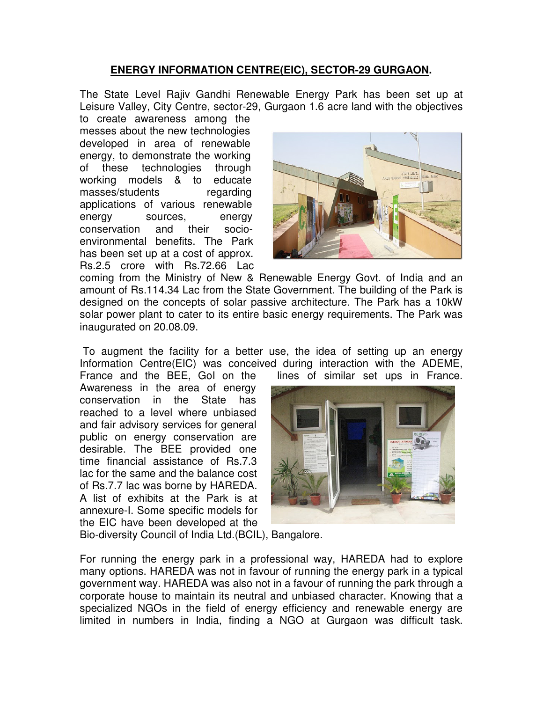## **ENERGY INFORMATION CENTRE(EIC), SECTOR-29 GURGAON.**

 The State Level Rajiv Gandhi Renewable Energy Park has been set up at Leisure Valley, City Centre, sector-29, Gurgaon 1.6 acre land with the objectives

 to create awareness among the messes about the new technologies developed in area of renewable energy, to demonstrate the working of these technologies through working models & to educate applications of various renewable conservation and their socio- environmental benefits. The Park has been set up at a cost of approx. Rs.2.5 crore with [Rs.72.66](https://Rs.72.66) Lac masses/students regarding energy sources, energy



 coming from the Ministry of New & Renewable Energy Govt. of India and an amount of [Rs.114.34](https://Rs.114.34) Lac from the State Government. The building of the Park is designed on the concepts of solar passive architecture. The Park has a 10kW solar power plant to cater to its entire basic energy requirements. The Park was inaugurated on [20.08.09](https://20.08.09).

 To augment the facility for a better use, the idea of setting up an energy Information Centre(EIC) was conceived during interaction with the ADEME, France and the BEE, Gol on the lines of similar set ups in France.

 Awareness in the area of energy conservation in the State has reached to a level where unbiased and fair advisory services for general public on energy conservation are desirable. The BEE provided one time financial assistance of Rs.7.3 lac for the same and the balance cost of Rs.7.7 lac was borne by HAREDA. A list of exhibits at the Park is at annexure-I. Some specific models for the EIC have been developed at the



Bio-diversity Council of India Ltd.(BCIL), Bangalore.

 For running the energy park in a professional way, HAREDA had to explore many options. HAREDA was not in favour of running the energy park in a typical government way. HAREDA was also not in a favour of running the park through a corporate house to maintain its neutral and unbiased character. Knowing that a specialized NGOs in the field of energy efficiency and renewable energy are limited in numbers in India, finding a NGO at Gurgaon was difficult task.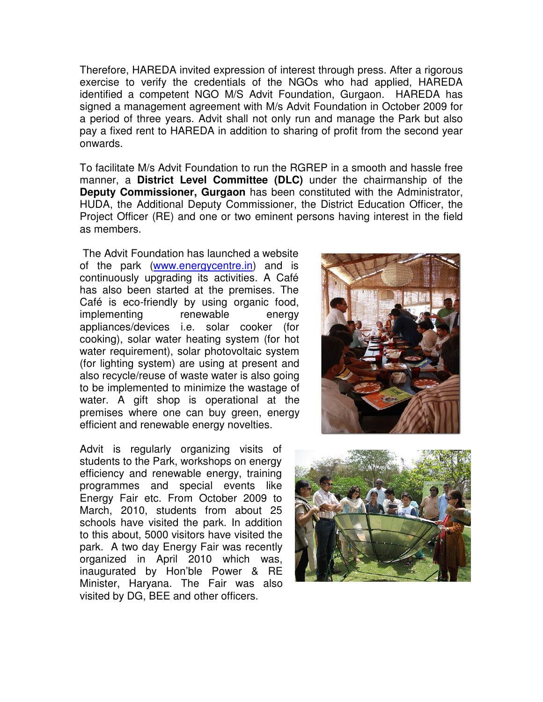Therefore, HAREDA invited expression of interest through press. After a rigorous exercise to verify the credentials of the NGOs who had applied, HAREDA identified a competent NGO M/S Advit Foundation, Gurgaon. HAREDA has signed a management agreement with M/s Advit Foundation in October 2009 for a period of three years. Advit shall not only run and manage the Park but also pay a fixed rent to HAREDA in addition to sharing of profit from the second year onwards.

 To facilitate M/s Advit Foundation to run the RGREP in a smooth and hassle free manner, a **District Level Committee (DLC)** under the chairmanship of the **Deputy Commissioner, Gurgaon** has been constituted with the Administrator, HUDA, the Additional Deputy Commissioner, the District Education Officer, the Project Officer (RE) and one or two eminent persons having interest in the field as members.

 The Advit Foundation has launched a website of the park ([www.energycentre.in\)](www.energycentre.in) and is continuously upgrading its activities. A Café has also been started at the premises. The Café is eco-friendly by using organic food, appliances/devices i.e. solar cooker (for cooking), solar water heating system (for hot water requirement), solar photovoltaic system (for lighting system) are using at present and also recycle/reuse of waste water is also going to be implemented to minimize the wastage of water. A gift shop is operational at the premises where one can buy green, energy efficient and renewable energy novelties. implementing renewable energy

 Advit is regularly organizing visits of students to the Park, workshops on energy efficiency and renewable energy, training programmes and special events like Energy Fair etc. From October 2009 to March, 2010, students from about 25 schools have visited the park. In addition to this about, 5000 visitors have visited the park. A two day Energy Fair was recently organized in April 2010 which was, inaugurated by Hon'ble Power & RE Minister, Haryana. The Fair was also visited by DG, BEE and other officers.



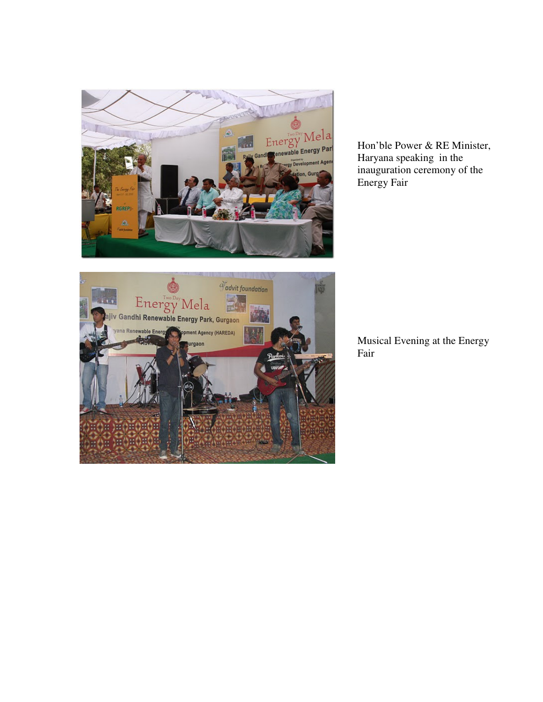

 Hon'ble Power & RE Minister, Energy Fair Haryana speaking in the inauguration ceremony of the



 Musical Evening at the Energy Fair